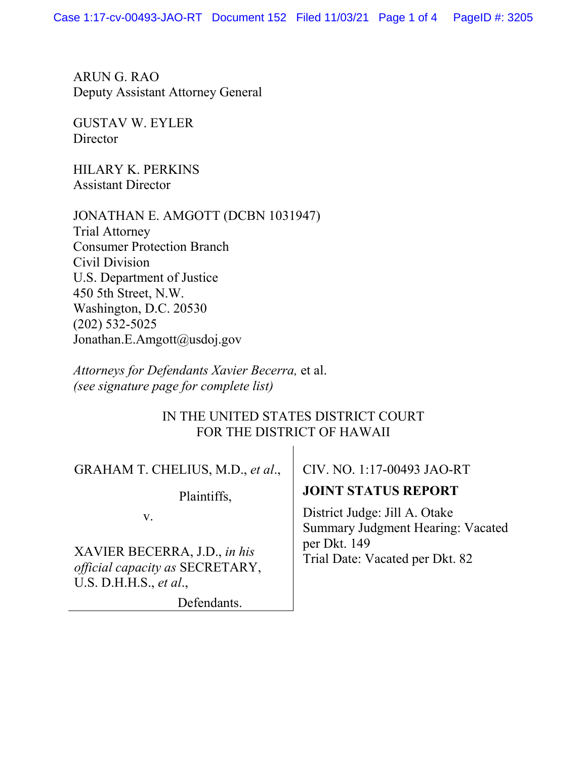ARUN G. RAO Deputy Assistant Attorney General

GUSTAV W. EYLER **Director** 

HILARY K. PERKINS Assistant Director

JONATHAN E. AMGOTT (DCBN 1031947) Trial Attorney Consumer Protection Branch Civil Division U.S. Department of Justice 450 5th Street, N.W. Washington, D.C. 20530 (202) 532-5025 Jonathan.E.Amgott@usdoj.gov

*Attorneys for Defendants Xavier Becerra,* et al. *(see signature page for complete list)*

## IN THE UNITED STATES DISTRICT COURT FOR THE DISTRICT OF HAWAII

 $\overline{1}$ 

| GRAHAM T. CHELIUS, M.D., et al.,                                                          | CIV. NO. 1:17-00493 JAO-RT                                                                                            |
|-------------------------------------------------------------------------------------------|-----------------------------------------------------------------------------------------------------------------------|
| Plaintiffs,                                                                               | <b>JOINT STATUS REPORT</b>                                                                                            |
| V.                                                                                        | District Judge: Jill A. Otake<br>Summary Judgment Hearing: Vacated<br>per Dkt. 149<br>Trial Date: Vacated per Dkt. 82 |
| XAVIER BECERRA, J.D., in his<br>official capacity as SECRETARY,<br>U.S. D.H.H.S., et al., |                                                                                                                       |
| Defendants                                                                                |                                                                                                                       |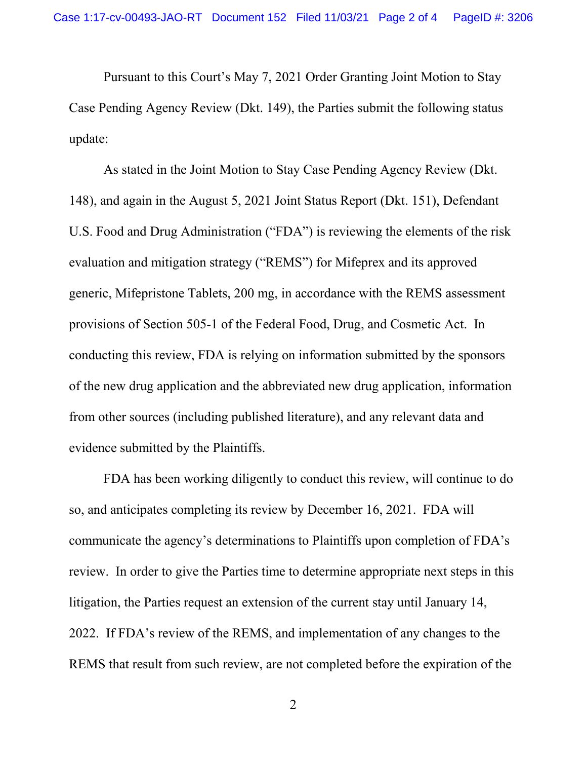Pursuant to this Court's May 7, 2021 Order Granting Joint Motion to Stay Case Pending Agency Review (Dkt. 149), the Parties submit the following status update:

As stated in the Joint Motion to Stay Case Pending Agency Review (Dkt. 148), and again in the August 5, 2021 Joint Status Report (Dkt. 151), Defendant U.S. Food and Drug Administration ("FDA") is reviewing the elements of the risk evaluation and mitigation strategy ("REMS") for Mifeprex and its approved generic, Mifepristone Tablets, 200 mg, in accordance with the REMS assessment provisions of Section 505-1 of the Federal Food, Drug, and Cosmetic Act. In conducting this review, FDA is relying on information submitted by the sponsors of the new drug application and the abbreviated new drug application, information from other sources (including published literature), and any relevant data and evidence submitted by the Plaintiffs.

FDA has been working diligently to conduct this review, will continue to do so, and anticipates completing its review by December 16, 2021. FDA will communicate the agency's determinations to Plaintiffs upon completion of FDA's review. In order to give the Parties time to determine appropriate next steps in this litigation, the Parties request an extension of the current stay until January 14, 2022. If FDA's review of the REMS, and implementation of any changes to the REMS that result from such review, are not completed before the expiration of the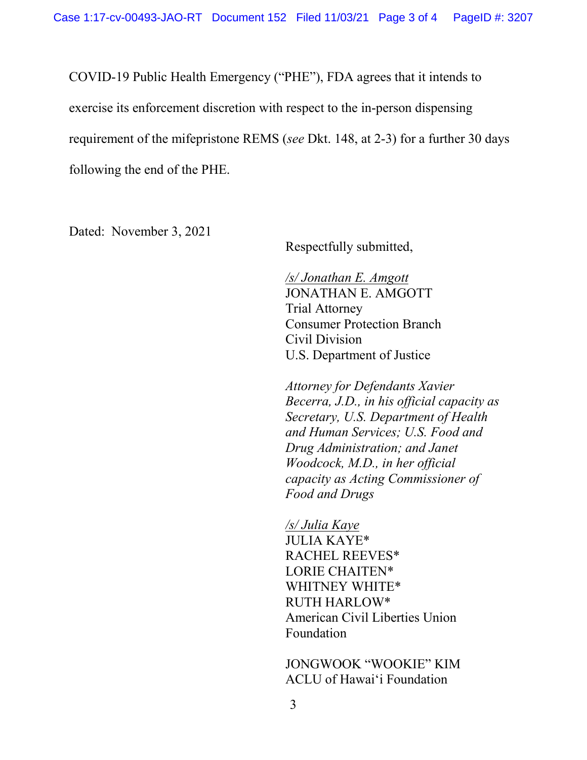COVID-19 Public Health Emergency ("PHE"), FDA agrees that it intends to exercise its enforcement discretion with respect to the in-person dispensing requirement of the mifepristone REMS (*see* Dkt. 148, at 2-3) for a further 30 days following the end of the PHE.

Dated: November 3, 2021

Respectfully submitted,

*/s/ Jonathan E. Amgott* JONATHAN E. AMGOTT Trial Attorney Consumer Protection Branch Civil Division U.S. Department of Justice

*Attorney for Defendants Xavier Becerra, J.D., in his official capacity as Secretary, U.S. Department of Health and Human Services; U.S. Food and Drug Administration; and Janet Woodcock, M.D., in her official capacity as Acting Commissioner of Food and Drugs* 

*/s/ Julia Kaye* JULIA KAYE\* RACHEL REEVES\* LORIE CHAITEN\* WHITNEY WHITE\* RUTH HARLOW\* American Civil Liberties Union Foundation

JONGWOOK "WOOKIE" KIM ACLU of Hawaiʻi Foundation